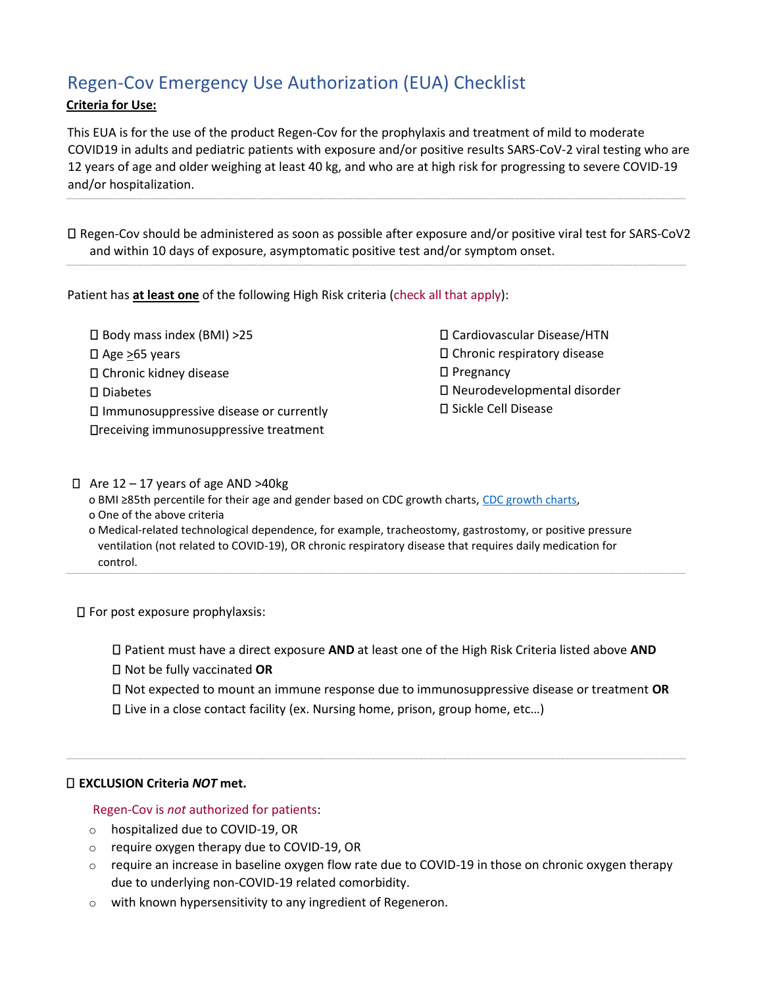# Regen-Cov Emergency Use Authorization (EUA) Checklist

## **Criteria for Use:**

This EUA is for the use of the product Regen-Cov for the prophylaxis and treatment of mild to moderate COVID19 in adults and pediatric patients with exposure and/or positive results SARS-CoV-2 viral testing who are 12 years of age and older weighing at least 40 kg, and who are at high risk for progressing to severe COVID-19 and/or hospitalization.

----------------------------------------------------------------------------------------------------------------------------------------------------------------------------------------------------------------------------------------------------------------------------------------------------------------------------------------------------------------------------------------------------------------------

Regen-Cov should be administered as soon as possible after exposure and/or positive viral test for SARS-CoV2 and within 10 days of exposure, asymptomatic positive test and/or symptom onset.

----------------------------------------------------------------------------------------------------------------------------------------------------------------------------------------------------------------------------------------------------------------------------------------------------------------------------------------------------------------------------------------------------------------------

Patient has **at least one** of the following High Risk criteria (check all that apply):

Body mass index (BMI) >25  $\Box$  Age  $\geq$ 65 years Chronic kidney disease □ Diabetes Immunosuppressive disease or currently receiving immunosuppressive treatment

Cardiovascular Disease/HTN Chronic respiratory disease  $\square$  Pregnancy

- Neurodevelopmental disorder
- □ Sickle Cell Disease

 $\Box$  Are 12 – 17 years of age AND >40kg o BMI ≥85th percentile for their age and gender based on CDC growth charts, [CDC growth charts,](https://www.cdc.gov/growthcharts/clinical_charts.htm) o One of the above criteria o Medical-related technological dependence, for example, tracheostomy, gastrostomy, or positive pressure ventilation (not related to COVID-19), OR chronic respiratory disease that requires daily medication for

For post exposure prophylaxsis:

control.

Patient must have a direct exposure **AND** at least one of the High Risk Criteria listed above **AND** Not be fully vaccinated **OR**

----------------------------------------------------------------------------------------------------------------------------------------------------------------------------------------------------------------------------------------------------------------------------------------------------------------------------------------------------------------------------------------------------------------------

----------------------------------------------------------------------------------------------------------------------------------------------------------------------------------------------------------------------------------------------------------------------------------------------------------------------------------------------------------------------------------------------------------------------

Not expected to mount an immune response due to immunosuppressive disease or treatment **OR**

Live in a close contact facility (ex. Nursing home, prison, group home, etc…)

### **EXCLUSION Criteria** *NOT* **met.**

### Regen-Cov is *not* authorized for patients:

- o hospitalized due to COVID-19, OR
- o require oxygen therapy due to COVID-19, OR
- $\circ$  require an increase in baseline oxygen flow rate due to COVID-19 in those on chronic oxygen therapy due to underlying non-COVID-19 related comorbidity.
- o with known hypersensitivity to any ingredient of Regeneron.